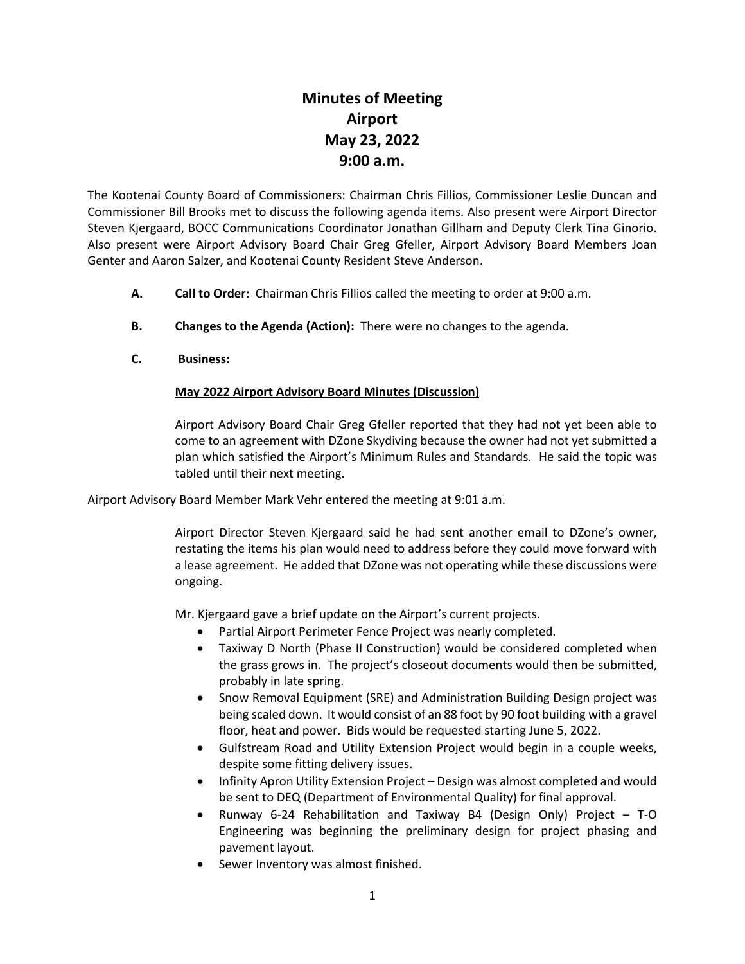# **Minutes of Meeting Airport May 23, 2022 9:00 a.m.**

The Kootenai County Board of Commissioners: Chairman Chris Fillios, Commissioner Leslie Duncan and Commissioner Bill Brooks met to discuss the following agenda items. Also present were Airport Director Steven Kjergaard, BOCC Communications Coordinator Jonathan Gillham and Deputy Clerk Tina Ginorio. Also present were Airport Advisory Board Chair Greg Gfeller, Airport Advisory Board Members Joan Genter and Aaron Salzer, and Kootenai County Resident Steve Anderson.

- **A. Call to Order:** Chairman Chris Fillios called the meeting to order at 9:00 a.m.
- **B. Changes to the Agenda (Action):** There were no changes to the agenda.
- **C. Business:**

# **May 2022 Airport Advisory Board Minutes (Discussion)**

Airport Advisory Board Chair Greg Gfeller reported that they had not yet been able to come to an agreement with DZone Skydiving because the owner had not yet submitted a plan which satisfied the Airport's Minimum Rules and Standards. He said the topic was tabled until their next meeting.

Airport Advisory Board Member Mark Vehr entered the meeting at 9:01 a.m.

Airport Director Steven Kjergaard said he had sent another email to DZone's owner, restating the items his plan would need to address before they could move forward with a lease agreement. He added that DZone was not operating while these discussions were ongoing.

Mr. Kjergaard gave a brief update on the Airport's current projects.

- Partial Airport Perimeter Fence Project was nearly completed.
- Taxiway D North (Phase II Construction) would be considered completed when the grass grows in. The project's closeout documents would then be submitted, probably in late spring.
- Snow Removal Equipment (SRE) and Administration Building Design project was being scaled down. It would consist of an 88 foot by 90 foot building with a gravel floor, heat and power. Bids would be requested starting June 5, 2022.
- Gulfstream Road and Utility Extension Project would begin in a couple weeks, despite some fitting delivery issues.
- Infinity Apron Utility Extension Project Design was almost completed and would be sent to DEQ (Department of Environmental Quality) for final approval.
- Runway 6-24 Rehabilitation and Taxiway B4 (Design Only) Project  $-$  T-O Engineering was beginning the preliminary design for project phasing and pavement layout.
- Sewer Inventory was almost finished.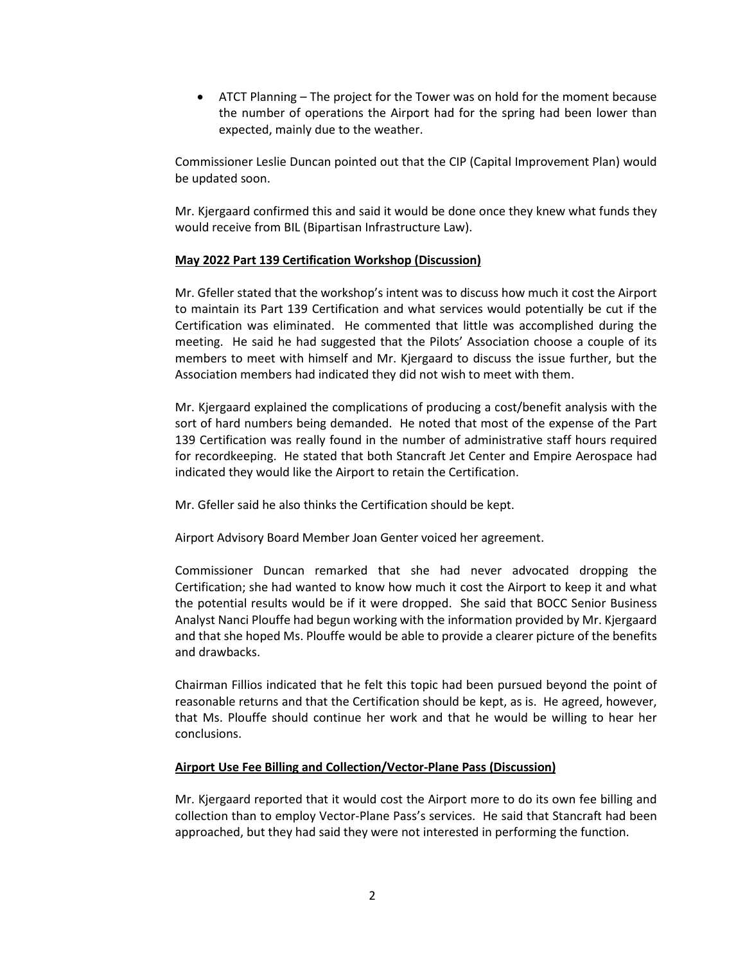• ATCT Planning – The project for the Tower was on hold for the moment because the number of operations the Airport had for the spring had been lower than expected, mainly due to the weather.

Commissioner Leslie Duncan pointed out that the CIP (Capital Improvement Plan) would be updated soon.

Mr. Kjergaard confirmed this and said it would be done once they knew what funds they would receive from BIL (Bipartisan Infrastructure Law).

### **May 2022 Part 139 Certification Workshop (Discussion)**

Mr. Gfeller stated that the workshop's intent was to discuss how much it cost the Airport to maintain its Part 139 Certification and what services would potentially be cut if the Certification was eliminated. He commented that little was accomplished during the meeting. He said he had suggested that the Pilots' Association choose a couple of its members to meet with himself and Mr. Kjergaard to discuss the issue further, but the Association members had indicated they did not wish to meet with them.

Mr. Kjergaard explained the complications of producing a cost/benefit analysis with the sort of hard numbers being demanded. He noted that most of the expense of the Part 139 Certification was really found in the number of administrative staff hours required for recordkeeping. He stated that both Stancraft Jet Center and Empire Aerospace had indicated they would like the Airport to retain the Certification.

Mr. Gfeller said he also thinks the Certification should be kept.

Airport Advisory Board Member Joan Genter voiced her agreement.

Commissioner Duncan remarked that she had never advocated dropping the Certification; she had wanted to know how much it cost the Airport to keep it and what the potential results would be if it were dropped. She said that BOCC Senior Business Analyst Nanci Plouffe had begun working with the information provided by Mr. Kjergaard and that she hoped Ms. Plouffe would be able to provide a clearer picture of the benefits and drawbacks.

Chairman Fillios indicated that he felt this topic had been pursued beyond the point of reasonable returns and that the Certification should be kept, as is. He agreed, however, that Ms. Plouffe should continue her work and that he would be willing to hear her conclusions.

#### **Airport Use Fee Billing and Collection/Vector-Plane Pass (Discussion)**

Mr. Kjergaard reported that it would cost the Airport more to do its own fee billing and collection than to employ Vector-Plane Pass's services. He said that Stancraft had been approached, but they had said they were not interested in performing the function.